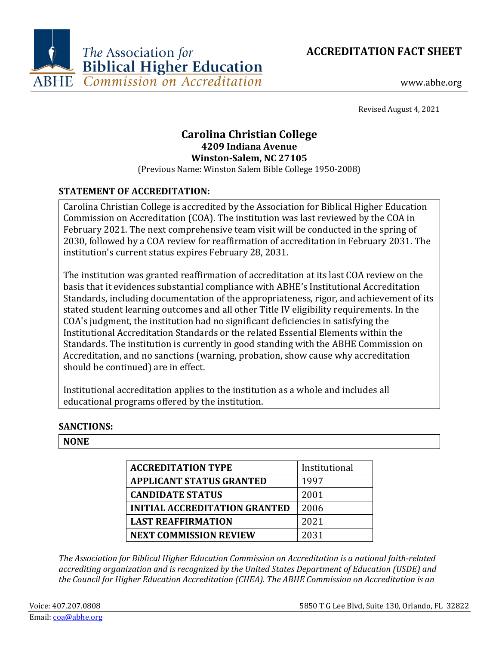



Revised August 4, 2021

# **Carolina Christian College 4209 Indiana Avenue Winston-Salem, NC 27105**

(Previous Name: Winston Salem Bible College 1950-2008)

## **STATEMENT OF ACCREDITATION:**

Carolina Christian College is accredited by the Association for Biblical Higher Education Commission on Accreditation (COA). The institution was last reviewed by the COA in February 2021. The next comprehensive team visit will be conducted in the spring of 2030, followed by a COA review for reaffirmation of accreditation in February 2031. The institution's current status expires February 28, 2031.

The institution was granted reaffirmation of accreditation at its last COA review on the basis that it evidences substantial compliance with ABHE's Institutional Accreditation Standards, including documentation of the appropriateness, rigor, and achievement of its stated student learning outcomes and all other Title IV eligibility requirements. In the COA's judgment, the institution had no significant deficiencies in satisfying the Institutional Accreditation Standards or the related Essential Elements within the Standards. The institution is currently in good standing with the ABHE Commission on Accreditation, and no sanctions (warning, probation, show cause why accreditation should be continued) are in effect.

Institutional accreditation applies to the institution as a whole and includes all educational programs offered by the institution.

## **SANCTIONS:**

#### **NONE**

| <b>ACCREDITATION TYPE</b>            | Institutional |
|--------------------------------------|---------------|
| <b>APPLICANT STATUS GRANTED</b>      | 1997          |
| <b>CANDIDATE STATUS</b>              | 2001          |
| <b>INITIAL ACCREDITATION GRANTED</b> | 2006          |
| <b>LAST REAFFIRMATION</b>            | 2021          |
| <b>NEXT COMMISSION REVIEW</b>        | 2031          |

*The Association for Biblical Higher Education Commission on Accreditation is a national faith-related accrediting organization and is recognized by the United States Department of Education (USDE) and the Council for Higher Education Accreditation (CHEA). The ABHE Commission on Accreditation is an*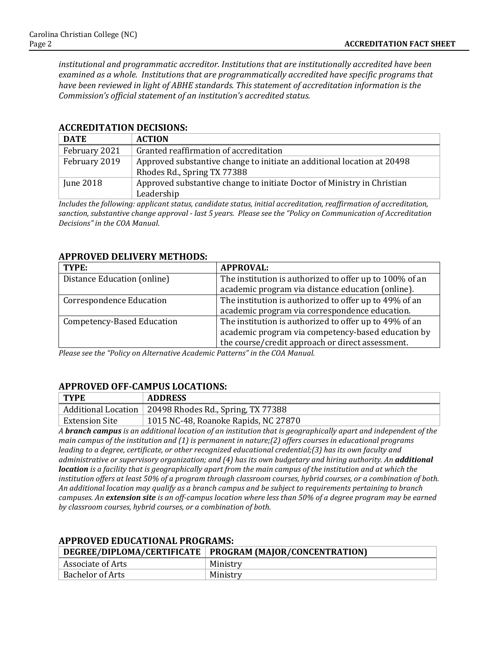*institutional and programmatic accreditor. Institutions that are institutionally accredited have been examined as a whole. Institutions that are programmatically accredited have specific programs that have been reviewed in light of ABHE standards. This statement of accreditation information is the Commission's official statement of an institution's accredited status.*

| <b>DATE</b>   | <b>ACTION</b>                                                           |
|---------------|-------------------------------------------------------------------------|
| February 2021 | Granted reaffirmation of accreditation                                  |
| February 2019 | Approved substantive change to initiate an additional location at 20498 |
|               | Rhodes Rd., Spring TX 77388                                             |
| June 2018     | Approved substantive change to initiate Doctor of Ministry in Christian |
|               | Leadership                                                              |

#### **ACCREDITATION DECISIONS:**

*Includes the following: applicant status, candidate status, initial accreditation, reaffirmation of accreditation, sanction, substantive change approval - last 5 years. Please see the "Policy on Communication of Accreditation Decisions" in the COA Manual.*

#### **APPROVED DELIVERY METHODS:**

| TYPE:                             | <b>APPROVAL:</b>                                        |
|-----------------------------------|---------------------------------------------------------|
| Distance Education (online)       | The institution is authorized to offer up to 100% of an |
|                                   | academic program via distance education (online).       |
| <b>Correspondence Education</b>   | The institution is authorized to offer up to 49% of an  |
|                                   | academic program via correspondence education.          |
| <b>Competency-Based Education</b> | The institution is authorized to offer up to 49% of an  |
|                                   | academic program via competency-based education by      |
|                                   | the course/credit approach or direct assessment.        |

*Please see the "Policy on Alternative Academic Patterns" in the COA Manual.*

#### **APPROVED OFF-CAMPUS LOCATIONS:**

| <b>TYPE</b>    | <b>ADDRESS</b>                                           |
|----------------|----------------------------------------------------------|
|                | Additional Location   20498 Rhodes Rd., Spring, TX 77388 |
| Extension Site | 1015 NC-48, Roanoke Rapids, NC 27870                     |

*A branch campus is an additional location of an institution that is geographically apart and independent of the main campus of the institution and (1) is permanent in nature;(2) offers courses in educational programs leading to a degree, certificate, or other recognized educational credential;(3) has its own faculty and administrative or supervisory organization; and (4) has its own budgetary and hiring authority. An additional location is a facility that is geographically apart from the main campus of the institution and at which the institution offers at least 50% of a program through classroom courses, hybrid courses, or a combination of both. An additional location may qualify as a branch campus and be subject to requirements pertaining to branch campuses. An extension site is an off-campus location where less than 50% of a degree program may be earned by classroom courses, hybrid courses, or a combination of both.*

|                   | DEGREE/DIPLOMA/CERTIFICATE   PROGRAM (MAJOR/CONCENTRATION) |
|-------------------|------------------------------------------------------------|
| Associate of Arts | Ministry                                                   |
| Bachelor of Arts  | Ministry                                                   |

#### **APPROVED EDUCATIONAL PROGRAMS:**